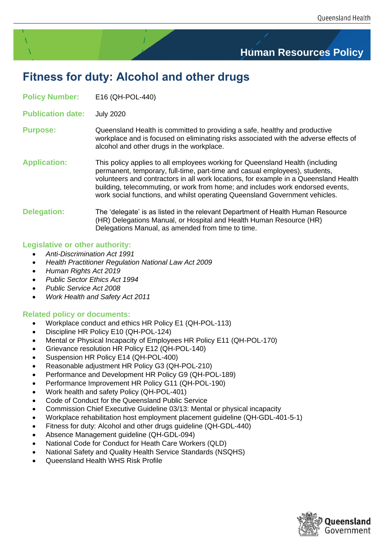# **Human Resources Policy**

# **Fitness for duty: Alcohol and other drugs**

**Policy Number:** E16 (QH-POL-440)

**Publication date:** July 2020

#### **Purpose:** Queensland Health is committed to providing a safe, healthy and productive workplace and is focused on eliminating risks associated with the adverse effects of alcohol and other drugs in the workplace.

**Application:** This policy applies to all employees working for Queensland Health (including permanent, temporary, full-time, part-time and casual employees), students, volunteers and contractors in all work locations, for example in a Queensland Health building, telecommuting, or work from home; and includes work endorsed events, work social functions, and whilst operating Queensland Government vehicles.

#### **Delegation:** The 'delegate' is as listed in the relevant Department of Health Human Resource (HR) Delegations Manual, or Hospital and Health Human Resource (HR) Delegations Manual, as amended from time to time.

#### **Legislative or other authority:**

- *Anti-Discrimination Act 1991*
- *Health Practitioner Regulation National Law Act 2009*
- *Human Rights Act 2019*
- *Public Sector Ethics Act 1994*
- *Public Service Act 2008*
- *Work Health and Safety Act 2011*

#### **Related policy or documents:**

- Workplace conduct and ethics HR Policy E1 (QH-POL-113)
- Discipline HR Policy E10 (QH-POL-124)
- Mental or Physical Incapacity of Employees HR Policy E11 (QH-POL-170)
- Grievance resolution HR Policy E12 (QH-POL-140)
- Suspension HR Policy E14 (QH-POL-400)
- Reasonable adjustment HR Policy G3 (QH-POL-210)
- Performance and Development HR Policy G9 (QH-POL-189)
- Performance Improvement HR Policy G11 (QH-POL-190)
- Work health and safety Policy (QH-POL-401)
- Code of Conduct for the Queensland Public Service
- Commission Chief Executive Guideline 03/13: Mental or physical incapacity
- Workplace rehabilitation host employment placement guideline (QH-GDL-401-5-1)
- Fitness for duty: Alcohol and other drugs guideline (QH-GDL-440)
- Absence Management guideline (QH-GDL-094)
- [National Code for Conduct for Heath Care Workers \(QLD\)](https://www.health.qld.gov.au/publications/system-governance/policies-standards/national-code-conduct-health-workers.pdf)
- [National Safety and Quality Health Service Standards \(NSQHS\)](http://www.safetyandquality.gov.au/wp-content/uploads/2011/09/NSQHS-Standards-Sept-2012.pdf)
- [Queensland Health WHS Risk Profile](http://qheps.health.qld.gov.au/safety/sms/risk-profile.htm)

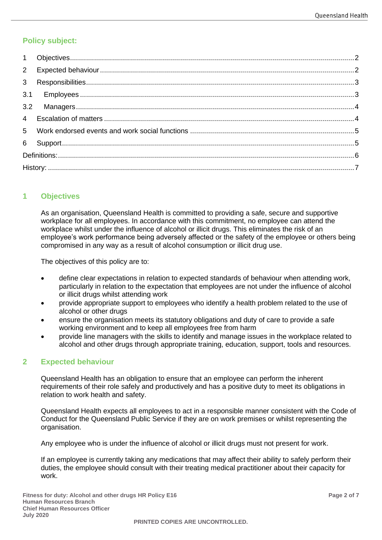# **Policy subject:**

### <span id="page-1-0"></span>**1 Objectives**

As an organisation, Queensland Health is committed to providing a safe, secure and supportive workplace for all employees. In accordance with this commitment, no employee can attend the workplace whilst under the influence of alcohol or illicit drugs. This eliminates the risk of an employee's work performance being adversely affected or the safety of the employee or others being compromised in any way as a result of alcohol consumption or illicit drug use.

The objectives of this policy are to:

- define clear expectations in relation to expected standards of behaviour when attending work, particularly in relation to the expectation that employees are not under the influence of alcohol or illicit drugs whilst attending work
- provide appropriate support to employees who identify a health problem related to the use of alcohol or other drugs
- ensure the organisation meets its statutory obligations and duty of care to provide a safe working environment and to keep all employees free from harm
- provide line managers with the skills to identify and manage issues in the workplace related to alcohol and other drugs through appropriate training, education, support, tools and resources.

#### <span id="page-1-1"></span>**2 Expected behaviour**

Queensland Health has an obligation to ensure that an employee can perform the inherent requirements of their role safely and productively and has a positive duty to meet its obligations in relation to work health and safety.

Queensland Health expects all employees to act in a responsible manner consistent with the Code of Conduct for the Queensland Public Service if they are on work premises or whilst representing the organisation.

Any employee who is under the influence of alcohol or illicit drugs must not present for work.

If an employee is currently taking any medications that may affect their ability to safely perform their duties, the employee should consult with their treating medical practitioner about their capacity for work.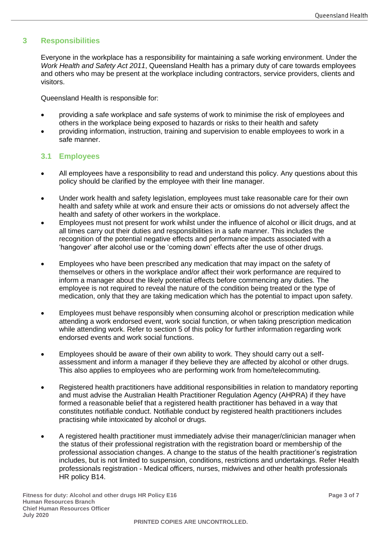#### <span id="page-2-0"></span>**3 Responsibilities**

Everyone in the workplace has a responsibility for maintaining a safe working environment. Under the *Work Health and Safety Act 2011*, Queensland Health has a primary duty of care towards employees and others who may be present at the workplace including contractors, service providers, clients and visitors.

Queensland Health is responsible for:

- providing a safe workplace and safe systems of work to minimise the risk of employees and others in the workplace being exposed to hazards or risks to their health and safety
- providing information, instruction, training and supervision to enable employees to work in a safe manner.

#### <span id="page-2-1"></span>**3.1 Employees**

- All employees have a responsibility to read and understand this policy. Any questions about this policy should be clarified by the employee with their line manager.
- Under work health and safety legislation, employees must take reasonable care for their own health and safety while at work and ensure their acts or omissions do not adversely affect the health and safety of other workers in the workplace.
- Employees must not present for work whilst under the influence of alcohol or illicit drugs, and at all times carry out their duties and responsibilities in a safe manner. This includes the recognition of the potential negative effects and performance impacts associated with a 'hangover' after alcohol use or the 'coming down' effects after the use of other drugs.
- Employees who have been prescribed any medication that may impact on the safety of themselves or others in the workplace and/or affect their work performance are required to inform a manager about the likely potential effects before commencing any duties. The employee is not required to reveal the nature of the condition being treated or the type of medication, only that they are taking medication which has the potential to impact upon safety.
- Employees must behave responsibly when consuming alcohol or prescription medication while attending a work endorsed event, work social function, or when taking prescription medication while attending work. Refer to section 5 of this policy for further information regarding work endorsed events and work social functions.
- Employees should be aware of their own ability to work. They should carry out a selfassessment and inform a manager if they believe they are affected by alcohol or other drugs. This also applies to employees who are performing work from home/telecommuting.
- Registered health practitioners have additional responsibilities in relation to mandatory reporting and must advise the Australian Health Practitioner Regulation Agency (AHPRA) if they have formed a reasonable belief that a registered health practitioner has behaved in a way that constitutes notifiable conduct. Notifiable conduct by registered health practitioners includes practising while intoxicated by alcohol or drugs.
- A registered health practitioner must immediately advise their manager/clinician manager when the status of their professional registration with the registration board or membership of the professional association changes. A change to the status of the health practitioner's registration includes, but is not limited to suspension, conditions, restrictions and undertakings. Refer Health professionals registration - Medical officers, nurses, midwives and other health professionals HR policy B14.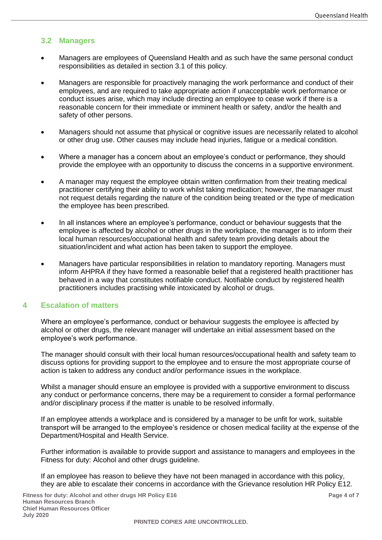#### <span id="page-3-0"></span>**3.2 Managers**

- Managers are employees of Queensland Health and as such have the same personal conduct responsibilities as detailed in section 3.1 of this policy.
- Managers are responsible for proactively managing the work performance and conduct of their employees, and are required to take appropriate action if unacceptable work performance or conduct issues arise, which may include directing an employee to cease work if there is a reasonable concern for their immediate or imminent health or safety, and/or the health and safety of other persons.
- Managers should not assume that physical or cognitive issues are necessarily related to alcohol or other drug use. Other causes may include head injuries, fatigue or a medical condition.
- Where a manager has a concern about an employee's conduct or performance, they should provide the employee with an opportunity to discuss the concerns in a supportive environment.
- A manager may request the employee obtain written confirmation from their treating medical practitioner certifying their ability to work whilst taking medication; however, the manager must not request details regarding the nature of the condition being treated or the type of medication the employee has been prescribed.
- In all instances where an employee's performance, conduct or behaviour suggests that the employee is affected by alcohol or other drugs in the workplace, the manager is to inform their local human resources/occupational health and safety team providing details about the situation/incident and what action has been taken to support the employee.
- Managers have particular responsibilities in relation to mandatory reporting. Managers must inform AHPRA if they have formed a reasonable belief that a registered health practitioner has behaved in a way that constitutes notifiable conduct. Notifiable conduct by registered health practitioners includes practising while intoxicated by alcohol or drugs.

#### <span id="page-3-1"></span>**4 Escalation of matters**

Where an employee's performance, conduct or behaviour suggests the employee is affected by alcohol or other drugs, the relevant manager will undertake an initial assessment based on the employee's work performance.

The manager should consult with their local human resources/occupational health and safety team to discuss options for providing support to the employee and to ensure the most appropriate course of action is taken to address any conduct and/or performance issues in the workplace.

Whilst a manager should ensure an employee is provided with a supportive environment to discuss any conduct or performance concerns, there may be a requirement to consider a formal performance and/or disciplinary process if the matter is unable to be resolved informally.

If an employee attends a workplace and is considered by a manager to be unfit for work, suitable transport will be arranged to the employee's residence or chosen medical facility at the expense of the Department/Hospital and Health Service.

Further information is available to provide support and assistance to managers and employees in the Fitness for duty: Alcohol and other drugs guideline.

If an employee has reason to believe they have not been managed in accordance with this policy, they are able to escalate their concerns in accordance with the Grievance resolution HR Policy E12.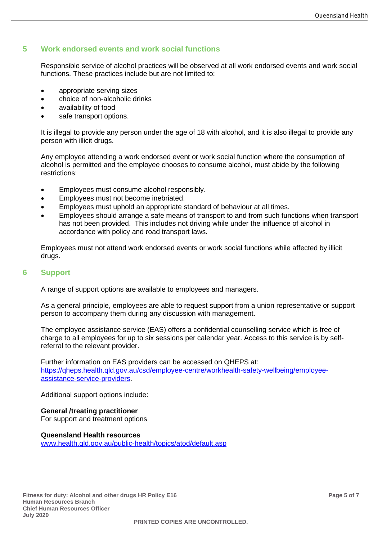### <span id="page-4-0"></span>**5 Work endorsed events and work social functions**

Responsible service of alcohol practices will be observed at all work endorsed events and work social functions. These practices include but are not limited to:

- appropriate serving sizes
- choice of non-alcoholic drinks
- availability of food
- safe transport options.

It is illegal to provide any person under the age of 18 with alcohol, and it is also illegal to provide any person with illicit drugs.

Any employee attending a work endorsed event or work social function where the consumption of alcohol is permitted and the employee chooses to consume alcohol, must abide by the following restrictions:

- Employees must consume alcohol responsibly.
- Employees must not become inebriated.
- Employees must uphold an appropriate standard of behaviour at all times.
- Employees should arrange a safe means of transport to and from such functions when transport has not been provided. This includes not driving while under the influence of alcohol in accordance with policy and road transport laws.

Employees must not attend work endorsed events or work social functions while affected by illicit drugs.

#### <span id="page-4-1"></span>**6 Support**

A range of support options are available to employees and managers.

As a general principle, employees are able to request support from a union representative or support person to accompany them during any discussion with management.

The employee assistance service (EAS) offers a confidential counselling service which is free of charge to all employees for up to six sessions per calendar year. Access to this service is by selfreferral to the relevant provider.

Further information on EAS providers can be accessed on QHEPS at: [https://qheps.health.qld.gov.au/csd/employee-centre/workhealth-safety-wellbeing/employee](https://qheps.health.qld.gov.au/csd/employee-centre/workhealth-safety-wellbeing/employee-assistance-service-providers)[assistance-service-providers.](https://qheps.health.qld.gov.au/csd/employee-centre/workhealth-safety-wellbeing/employee-assistance-service-providers)

Additional support options include:

**General /treating practitioner** For support and treatment options

**Queensland Health resources** [www.health.qld.gov.au/public-health/topics/atod/default.asp](http://www.health.qld.gov.au/public-health/topics/atod/default.asp)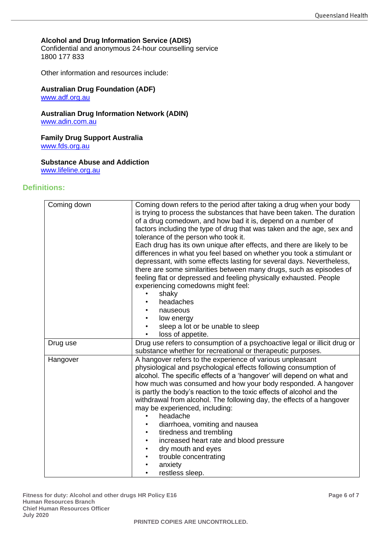#### **Alcohol and Drug Information Service (ADIS)**

Confidential and anonymous 24-hour counselling service 1800 177 833

Other information and resources include:

#### **Australian Drug Foundation (ADF)** [www.adf.org.au](http://www.adf.org.au/)

**Australian Drug Information Network (ADIN)** [www.adin.com.au](http://www.adin.com.au/)

**Family Drug Support Australia** [www.fds.org.au](http://www.fds.org.au/)

# **Substance Abuse and Addiction**

[www.lifeline.org.au](http://www.lifeline.org.au/)

#### <span id="page-5-0"></span>**Definitions:**

| Coming down | Coming down refers to the period after taking a drug when your body<br>is trying to process the substances that have been taken. The duration<br>of a drug comedown, and how bad it is, depend on a number of<br>factors including the type of drug that was taken and the age, sex and<br>tolerance of the person who took it.<br>Each drug has its own unique after effects, and there are likely to be<br>differences in what you feel based on whether you took a stimulant or<br>depressant, with some effects lasting for several days. Nevertheless,<br>there are some similarities between many drugs, such as episodes of<br>feeling flat or depressed and feeling physically exhausted. People<br>experiencing comedowns might feel:<br>shaky<br>headaches<br>nauseous<br>low energy<br>sleep a lot or be unable to sleep<br>loss of appetite. |
|-------------|----------------------------------------------------------------------------------------------------------------------------------------------------------------------------------------------------------------------------------------------------------------------------------------------------------------------------------------------------------------------------------------------------------------------------------------------------------------------------------------------------------------------------------------------------------------------------------------------------------------------------------------------------------------------------------------------------------------------------------------------------------------------------------------------------------------------------------------------------------|
| Drug use    | Drug use refers to consumption of a psychoactive legal or illicit drug or<br>substance whether for recreational or therapeutic purposes.                                                                                                                                                                                                                                                                                                                                                                                                                                                                                                                                                                                                                                                                                                                 |
| Hangover    | A hangover refers to the experience of various unpleasant<br>physiological and psychological effects following consumption of<br>alcohol. The specific effects of a 'hangover' will depend on what and<br>how much was consumed and how your body responded. A hangover<br>is partly the body's reaction to the toxic effects of alcohol and the<br>withdrawal from alcohol. The following day, the effects of a hangover<br>may be experienced, including:<br>headache<br>diarrhoea, vomiting and nausea<br>tiredness and trembling<br>increased heart rate and blood pressure<br>dry mouth and eyes<br>trouble concentrating<br>anxiety<br>restless sleep.                                                                                                                                                                                             |